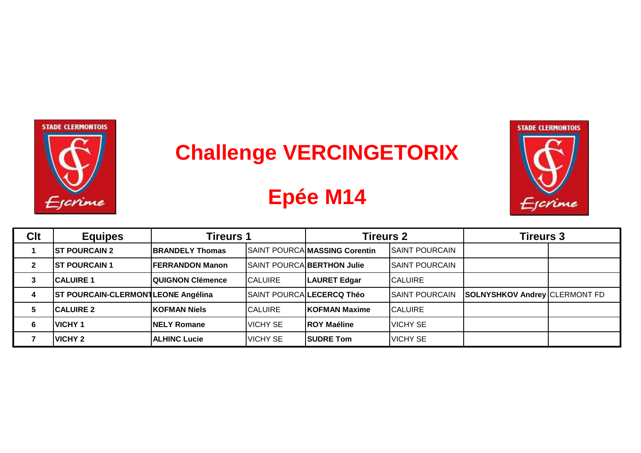

## **Challenge VERCINGETORIX**



## **Epée M14**

| <b>Clt</b> | <b>Equipes</b>                            | <b>Tireurs 1</b>       |                  | <b>Tireurs 2</b>                     |                        | <b>Tireurs 3</b>              |  |
|------------|-------------------------------------------|------------------------|------------------|--------------------------------------|------------------------|-------------------------------|--|
|            | <b>IST POURCAIN 2</b>                     | <b>BRANDELY Thomas</b> |                  | <b>SAINT POURCA MASSING Corentin</b> | <b>ISAINT POURCAIN</b> |                               |  |
|            | <b>IST POURCAIN 1</b>                     | <b>FERRANDON Manon</b> |                  | <b>SAINT POURCA BERTHON Julie</b>    | <b>SAINT POURCAIN</b>  |                               |  |
|            | <b>ICALUIRE 1</b>                         | QUIGNON Clémence       | <b>CALUIRE</b>   | <b>LAURET Edgar</b>                  | <b>ICALUIRE</b>        |                               |  |
|            | <b>ST POURCAIN-CLERMONTLEONE Angélina</b> |                        |                  | SAINT POURCALLECERCQ Théo            | <b>ISAINT POURCAIN</b> | SOLNYSHKOV Andrey CLERMONT FD |  |
|            | <b>CALUIRE 2</b>                          | <b>IKOFMAN Niels</b>   | <b>ICALUIRE</b>  | <b>KOFMAN Maxime</b>                 | <b>ICALUIRE</b>        |                               |  |
|            | <b>VICHY 1</b>                            | <b>INELY Romane</b>    | <b>IVICHY SE</b> | <b>IROY Maéline</b>                  | <b>VICHY SE</b>        |                               |  |
|            | <b>VICHY 2</b>                            | <b>ALHINC Lucie</b>    | <b>VICHY SE</b>  | <b>SUDRE Tom</b>                     | <b>VICHY SE</b>        |                               |  |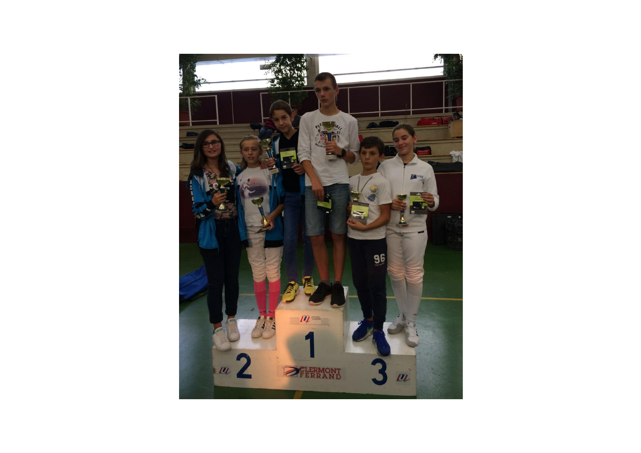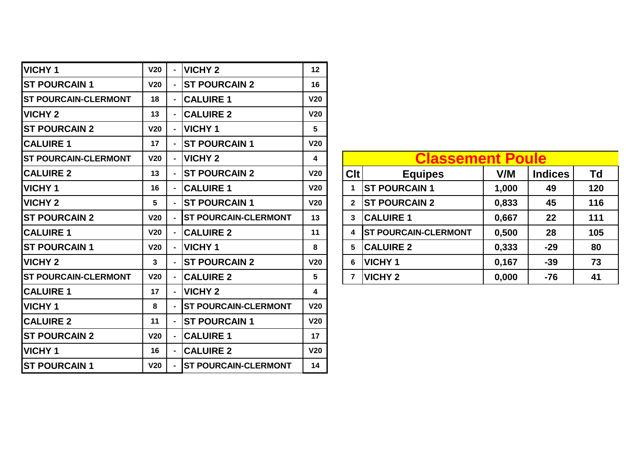| <b>VICHY 1</b>               | V <sub>20</sub> | <b>VICHY 2</b>              | 12              |                 |                              |       |                |     |
|------------------------------|-----------------|-----------------------------|-----------------|-----------------|------------------------------|-------|----------------|-----|
| <b>ST POURCAIN 1</b>         | V20             | <b>ST POURCAIN 2</b>        | 16              |                 |                              |       |                |     |
| <b>IST POURCAIN-CLERMONT</b> | 18              | <b>CALUIRE 1</b>            | V <sub>20</sub> |                 |                              |       |                |     |
| <b>VICHY 2</b>               | 13              | <b>CALUIRE 2</b>            | V20             |                 |                              |       |                |     |
| <b>IST POURCAIN 2</b>        | V20             | <b>VICHY 1</b>              | 5               |                 |                              |       |                |     |
| <b>CALUIRE 1</b>             | 17              | <b>ST POURCAIN 1</b>        | V20             |                 |                              |       |                |     |
| <b>ST POURCAIN-CLERMONT</b>  | V20             | <b>VICHY 2</b>              | 4               |                 | <b>Classement Poule</b>      |       |                |     |
| <b>CALUIRE 2</b>             | 13              | <b>ST POURCAIN 2</b>        | V20             | Cl <sub>t</sub> | <b>Equipes</b>               | V/M   | <b>Indices</b> | Td  |
| <b>VICHY 1</b>               | 16              | <b>CALUIRE 1</b>            | V20             | 1               | <b>IST POURCAIN 1</b>        | 1,000 | 49             | 120 |
| <b>VICHY 2</b>               | 5               | <b>ST POURCAIN 1</b>        | V20             | $\overline{2}$  | <b>IST POURCAIN 2</b>        | 0,833 | 45             | 116 |
| <b>ST POURCAIN 2</b>         | V20             | <b>ST POURCAIN-CLERMONT</b> | 13              |                 | 3 CALUIRE 1                  | 0,667 | 22             | 111 |
| <b>CALUIRE 1</b>             | V20             | <b>CALUIRE 2</b>            | 11              | 4               | <b>IST POURCAIN-CLERMONT</b> | 0,500 | 28             | 105 |
| <b>IST POURCAIN 1</b>        | V20             | <b>VICHY 1</b>              | 8               | 5               | <b>CALUIRE 2</b>             | 0,333 | $-29$          | 80  |
| <b>VICHY 2</b>               | 3               | <b>ST POURCAIN 2</b>        | V <sub>20</sub> | 6               | <b>VICHY 1</b>               | 0,167 | $-39$          | 73  |
| <b>ST POURCAIN-CLERMONT</b>  | V <sub>20</sub> | <b>CALUIRE 2</b>            | 5               | $\overline{7}$  | <b>VICHY 2</b>               | 0,000 | $-76$          | 41  |
| <b>CALUIRE 1</b>             | 17              | <b>VICHY 2</b>              | 4               |                 |                              |       |                |     |
| <b>VICHY 1</b>               | 8               | <b>ST POURCAIN-CLERMONT</b> | V <sub>20</sub> |                 |                              |       |                |     |
| <b>CALUIRE 2</b>             | 11              | <b>ST POURCAIN 1</b>        | V <sub>20</sub> |                 |                              |       |                |     |
| <b>ST POURCAIN 2</b>         | V20             | <b>CALUIRE 1</b>            | 17              |                 |                              |       |                |     |
| <b>VICHY 1</b>               | 16              | <b>CALUIRE 2</b>            | V20             |                 |                              |       |                |     |
| <b>ST POURCAIN 1</b>         | V <sub>20</sub> | <b>ST POURCAIN-CLERMONT</b> | 14              |                 |                              |       |                |     |
|                              |                 |                             |                 |                 |                              |       |                |     |

|              | <b>Classement Poule</b>     |       |                |     |  |  |  |  |  |  |  |
|--------------|-----------------------------|-------|----------------|-----|--|--|--|--|--|--|--|
| Clt          | <b>Equipes</b>              | V/M   | <b>Indices</b> | Td  |  |  |  |  |  |  |  |
| 1            | <b>ST POURCAIN 1</b>        | 1,000 | 49             | 120 |  |  |  |  |  |  |  |
| $\mathbf{2}$ | <b>ST POURCAIN 2</b>        | 0,833 | 45             | 116 |  |  |  |  |  |  |  |
| 3            | <b>CALUIRE 1</b>            | 0,667 | 22             | 111 |  |  |  |  |  |  |  |
| 4            | <b>ST POURCAIN-CLERMONT</b> | 0,500 | 28             | 105 |  |  |  |  |  |  |  |
| 5            | <b>CALUIRE 2</b>            | 0,333 | $-29$          | 80  |  |  |  |  |  |  |  |
| 6            | <b>VICHY 1</b>              | 0,167 | $-39$          | 73  |  |  |  |  |  |  |  |
| 7            | <b>VICHY 2</b>              | 0,000 | $-76$          | 41  |  |  |  |  |  |  |  |